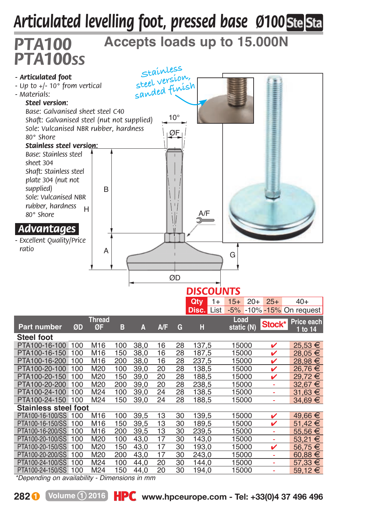## *Articulated levelling foot, pressed base Ø100*



*\*Depending on availability - Dimensions in mm*